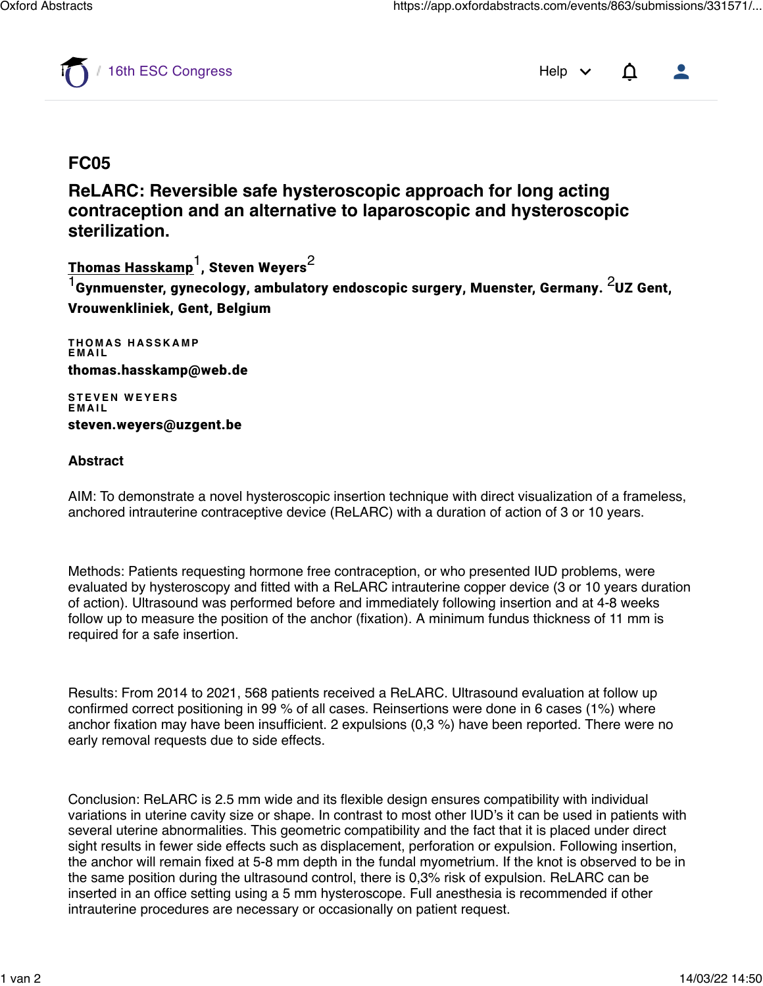

[16th ESC Congress](https://app.oxfordabstracts.com/dashboard/events/863) Help  $\vee$   $\Delta$ 

## **FC05**

**ReLARC: Reversible safe hysteroscopic approach for long acting contraception and an alternative to laparoscopic and hysteroscopic sterilization.**

<u>Thomas Hasskamp</u><sup>1</sup>, Steven Weyers<sup>2</sup>

 $^1$ Gynmuenster, gynecology, ambulatory endoscopic surgery, Muenster, Germany.  $^2$ UZ Gent, Vrouwenkliniek, Gent, Belgium

**THOMAS HASSKAMP EMAIL** thomas.hasskamp@web.de

**STEVEN WEYERS EMAIL** steven.weyers@uzgent.be

## **Abstract**

AIM: To demonstrate a novel hysteroscopic insertion technique with direct visualization of a frameless, anchored intrauterine contraceptive device (ReLARC) with a duration of action of 3 or 10 years.

Methods: Patients requesting hormone free contraception, or who presented IUD problems, were evaluated by hysteroscopy and fitted with a ReLARC intrauterine copper device (3 or 10 years duration of action). Ultrasound was performed before and immediately following insertion and at 4-8 weeks follow up to measure the position of the anchor (fixation). A minimum fundus thickness of 11 mm is required for a safe insertion.

Results: From 2014 to 2021, 568 patients received a ReLARC. Ultrasound evaluation at follow up confirmed correct positioning in 99 % of all cases. Reinsertions were done in 6 cases (1%) where anchor fixation may have been insufficient. 2 expulsions (0,3 %) have been reported. There were no early removal requests due to side effects.

Conclusion: ReLARC is 2.5 mm wide and its flexible design ensures compatibility with individual variations in uterine cavity size or shape. In contrast to most other IUD's it can be used in patients with several uterine abnormalities. This geometric compatibility and the fact that it is placed under direct sight results in fewer side effects such as displacement, perforation or expulsion. Following insertion, the anchor will remain fixed at 5-8 mm depth in the fundal myometrium. If the knot is observed to be in the same position during the ultrasound control, there is 0,3% risk of expulsion. ReLARC can be inserted in an office setting using a 5 mm hysteroscope. Full anesthesia is recommended if other intrauterine procedures are necessary or occasionally on patient request.